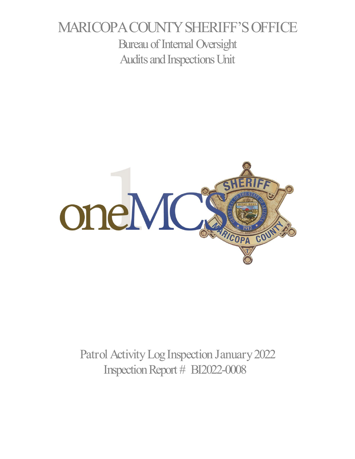# MARICOPA COUNTY SHERIFF'S OFFICE Bureau of Internal Oversight Audits and Inspections Unit



Patrol Activity Log Inspection January 2022 Inspection Report # BI2022-0008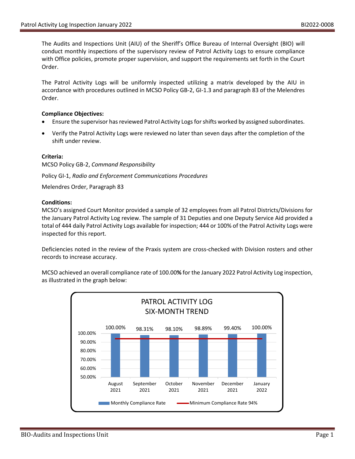The Audits and Inspections Unit (AIU) of the Sheriff's Office Bureau of Internal Oversight (BIO) will conduct monthly inspections of the supervisory review of Patrol Activity Logs to ensure compliance with Office policies, promote proper supervision, and support the requirements set forth in the Court Order.

The Patrol Activity Logs will be uniformly inspected utilizing a matrix developed by the AIU in accordance with procedures outlined in MCSO Policy GB-2, GI-1.3 and paragraph 83 of the Melendres Order.

#### **Compliance Objectives:**

- Ensure the supervisor has reviewed Patrol Activity Logs for shifts worked by assigned subordinates.
- Verify the Patrol Activity Logs were reviewed no later than seven days after the completion of the shift under review.

## **Criteria:**

MCSO Policy GB-2, *Command Responsibility*

Policy GI-1, *Radio and Enforcement Communications Procedures*

Melendres Order, Paragraph 83

## **Conditions:**

MCSO's assigned Court Monitor provided a sample of 32 employees from all Patrol Districts/Divisions for the January Patrol Activity Log review. The sample of 31 Deputies and one Deputy Service Aid provided a total of 444 daily Patrol Activity Logs available for inspection; 444 or 100% of the Patrol Activity Logs were inspected for this report.

Deficiencies noted in the review of the Praxis system are cross-checked with Division rosters and other records to increase accuracy.

MCSO achieved an overall compliance rate of 100.00**%** for the January 2022 Patrol Activity Log inspection, as illustrated in the graph below: